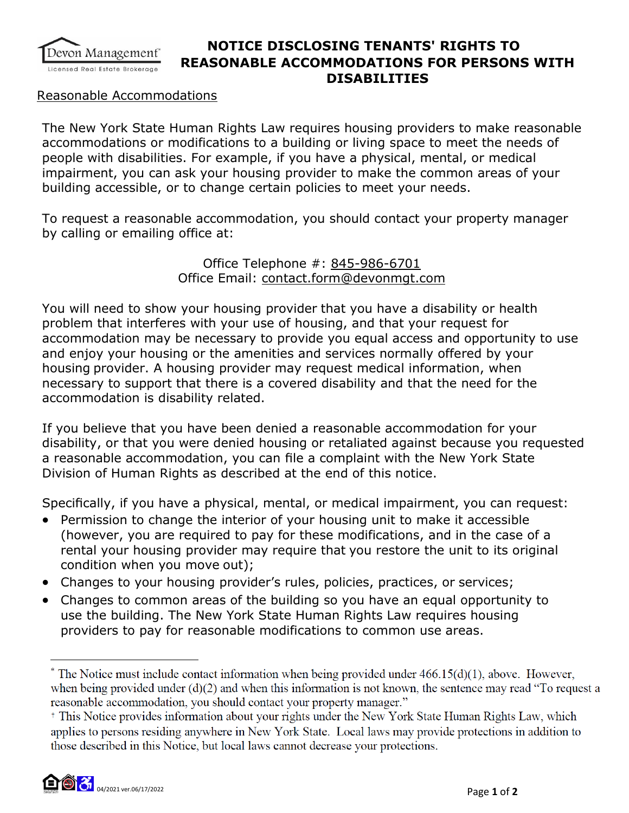

## **NOTICE DISCLOSING TENANTS' RIGHTS TO REASONABLE ACCOMMODATIONS FOR PERSONS WITH DISABILITIES**

## Reasonable Accommodations

The New York State Human Rights Law requires housing providers to make reasonable accommodations or modifications to a building or living space to meet the needs of people with disabilities. For example, if you have a physical, mental, or medical impairment, you can ask your housing provider to make the common areas of your building accessible, or to change certain policies to meet your needs.

To request a reasonable accommodation, you should contact your property manager by calling or emailing office at:

> Office Telephone #: 845-986-6701 Office Email: contact.form@devonmgt.com

You will need to show your housing provider that you have a disability or health problem that interferes with your use of housing, and that your request for accommodation may be necessary to provide you equal access and opportunity to use and enjoy your housing or the amenities and services normally offered by your housing provider. A housing provider may request medical information, when necessary to support that there is a covered disability and that the need for the accommodation is disability related.

If you believe that you have been denied a reasonable accommodation for your disability, or that you were denied housing or retaliated against because you requested a reasonable accommodation, you can file a complaint with the New York State Division of Human Rights as described at the end of this notice.

Specifically, if you have a physical, mental, or medical impairment, you can request:

- Permission to change the interior of your housing unit to make it accessible (however, you are required to pay for these modifications, and in the case of a rental your housing provider may require that you restore the unit to its original condition when you move out);
- Changes to your housing provider's rules, policies, practices, or services;
- Changes to common areas of the building so you have an equal opportunity to use the building. The New York State Human Rights Law requires housing providers to pay for reasonable modifications to common use areas.

 $*$  The Notice must include contact information when being provided under  $466.15(d)(1)$ , above. However, when being provided under  $(d)(2)$  and when this information is not known, the sentence may read "To request a reasonable accommodation, you should contact your property manager."

<sup>&</sup>lt;sup>†</sup> This Notice provides information about your rights under the New York State Human Rights Law, which applies to persons residing anywhere in New York State. Local laws may provide protections in addition to those described in this Notice, but local laws cannot decrease your protections.